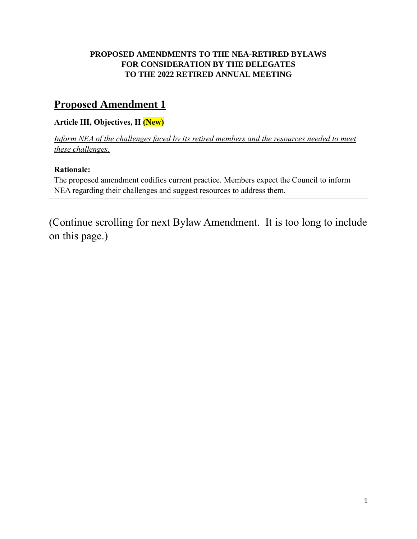## **PROPOSED AMENDMENTS TO THE NEA-RETIRED BYLAWS FOR CONSIDERATION BY THE DELEGATES TO THE 2022 RETIRED ANNUAL MEETING**

## **Proposed Amendment 1**

## **Article III, Objectives, H (New)**

*Inform NEA of the challenges faced by its retired members and the resources needed to meet these challenges.*

## **Rationale:**

The proposed amendment codifies current practice. Members expect the Council to inform NEA regarding their challenges and suggest resources to address them.

(Continue scrolling for next Bylaw Amendment. It is too long to include on this page.)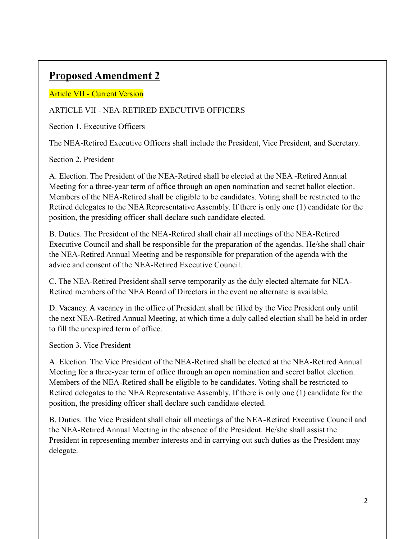# **Proposed Amendment 2**

## Article VII - Current Version

## ARTICLE VII - NEA-RETIRED EXECUTIVE OFFICERS

Section 1. Executive Officers

The NEA-Retired Executive Officers shall include the President, Vice President, and Secretary.

#### Section 2. President

A. Election. The President of the NEA-Retired shall be elected at the NEA -Retired Annual Meeting for a three-year term of office through an open nomination and secret ballot election. Members of the NEA-Retired shall be eligible to be candidates. Voting shall be restricted to the Retired delegates to the NEA Representative Assembly. If there is only one (1) candidate for the position, the presiding officer shall declare such candidate elected.

B. Duties. The President of the NEA-Retired shall chair all meetings of the NEA-Retired Executive Council and shall be responsible for the preparation of the agendas. He/she shall chair the NEA-Retired Annual Meeting and be responsible for preparation of the agenda with the advice and consent of the NEA-Retired Executive Council.

C. The NEA-Retired President shall serve temporarily as the duly elected alternate for NEA-Retired members of the NEA Board of Directors in the event no alternate is available.

D. Vacancy. A vacancy in the office of President shall be filled by the Vice President only until the next NEA-Retired Annual Meeting, at which time a duly called election shall be held in order to fill the unexpired term of office.

Section 3. Vice President

A. Election. The Vice President of the NEA-Retired shall be elected at the NEA-Retired Annual Meeting for a three-year term of office through an open nomination and secret ballot election. Members of the NEA-Retired shall be eligible to be candidates. Voting shall be restricted to Retired delegates to the NEA Representative Assembly. If there is only one (1) candidate for the position, the presiding officer shall declare such candidate elected.

B. Duties. The Vice President shall chair all meetings of the NEA-Retired Executive Council and the NEA-Retired Annual Meeting in the absence of the President. He/she shall assist the President in representing member interests and in carrying out such duties as the President may delegate.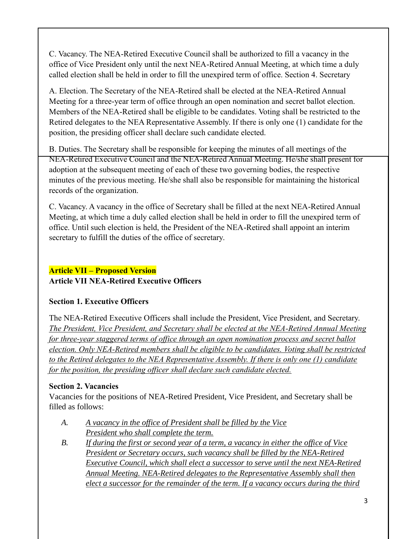C. Vacancy. The NEA-Retired Executive Council shall be authorized to fill a vacancy in the office of Vice President only until the next NEA-Retired Annual Meeting, at which time a duly called election shall be held in order to fill the unexpired term of office. Section 4. Secretary

A. Election. The Secretary of the NEA-Retired shall be elected at the NEA-Retired Annual Meeting for a three-year term of office through an open nomination and secret ballot election. Members of the NEA-Retired shall be eligible to be candidates. Voting shall be restricted to the Retired delegates to the NEA Representative Assembly. If there is only one (1) candidate for the position, the presiding officer shall declare such candidate elected.

B. Duties. The Secretary shall be responsible for keeping the minutes of all meetings of the NEA-Retired Executive Council and the NEA-Retired Annual Meeting. He/she shall present for adoption at the subsequent meeting of each of these two governing bodies, the respective minutes of the previous meeting. He/she shall also be responsible for maintaining the historical records of the organization.

C. Vacancy. A vacancy in the office of Secretary shall be filled at the next NEA-Retired Annual Meeting, at which time a duly called election shall be held in order to fill the unexpired term of office. Until such election is held, the President of the NEA-Retired shall appoint an interim secretary to fulfill the duties of the office of secretary.

## **Article VII – Proposed Version**

## **Article VII NEA-Retired Executive Officers**

#### **Section 1. Executive Officers**

The NEA-Retired Executive Officers shall include the President, Vice President, and Secretary. *The President, Vice President, and Secretary shall be elected at the NEA-Retired Annual Meeting for three-year staggered terms of office through an open nomination process and secret ballot election. Only NEA-Retired members shall be eligible to be candidates. Voting shall be restricted to the Retired delegates to the NEA Representative Assembly. If there is only one (1) candidate for the position, the presiding officer shall declare such candidate elected.*

## **Section 2. Vacancies**

Vacancies for the positions of NEA-Retired President, Vice President, and Secretary shall be filled as follows:

- *A. A vacancy in the office of President shall be filled by the Vice President who shall complete the term.*
- *B. If during the first or second year of a term, a vacancy in either the office of Vice President or Secretary occurs, such vacancy shall be filled by the NEA-Retired Executive Council, which shall elect a successor to serve until the next NEA-Retired Annual Meeting. NEA-Retired delegates to the Representative Assembly shall then elect a successor for the remainder of the term. If a vacancy occurs during the third*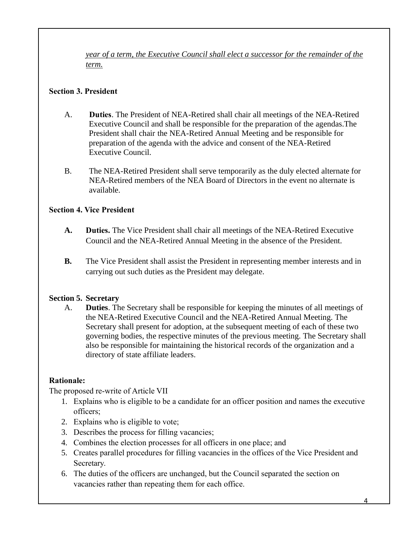*year of a term, the Executive Council shall elect a successor for the remainder of the term.* 

#### **Section 3. President**

- A. **Duties**. The President of NEA-Retired shall chair all meetings of the NEA-Retired Executive Council and shall be responsible for the preparation of the agendas.The President shall chair the NEA-Retired Annual Meeting and be responsible for preparation of the agenda with the advice and consent of the NEA-Retired Executive Council.
- B. The NEA-Retired President shall serve temporarily as the duly elected alternate for NEA-Retired members of the NEA Board of Directors in the event no alternate is available.

#### **Section 4. Vice President**

- **A. Duties.** The Vice President shall chair all meetings of the NEA-Retired Executive Council and the NEA-Retired Annual Meeting in the absence of the President.
- **B.** The Vice President shall assist the President in representing member interests and in carrying out such duties as the President may delegate.

#### **Section 5. Secretary**

A. **Duties**. The Secretary shall be responsible for keeping the minutes of all meetings of the NEA-Retired Executive Council and the NEA-Retired Annual Meeting. The Secretary shall present for adoption, at the subsequent meeting of each of these two governing bodies, the respective minutes of the previous meeting. The Secretary shall also be responsible for maintaining the historical records of the organization and a directory of state affiliate leaders.

#### **Rationale:**

The proposed re-write of Article VII

- 1. Explains who is eligible to be a candidate for an officer position and names the executive officers;
- 2. Explains who is eligible to vote;
- 3. Describes the process for filling vacancies;
- 4. Combines the election processes for all officers in one place; and
- 5. Creates parallel procedures for filling vacancies in the offices of the Vice President and Secretary.
- 6. The duties of the officers are unchanged, but the Council separated the section on vacancies rather than repeating them for each office.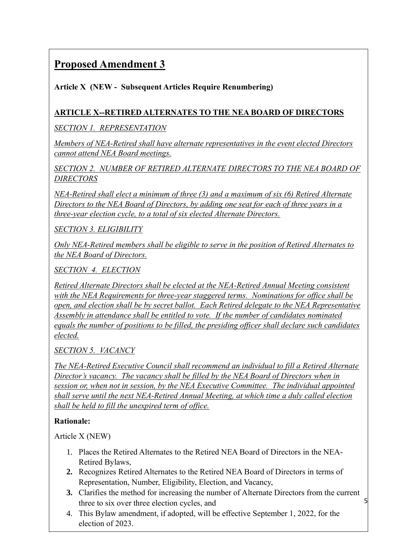# **Proposed Amendment 3**

**Article X (NEW - Subsequent Articles Require Renumbering)** 

## **ARTICLE X--RETIRED ALTERNATES TO THE NEA BOARD OF DIRECTORS**

*SECTION 1. REPRESENTATION*

*Members of NEA-Retired shall have alternate representatives in the event elected Directors cannot attend NEA Board meetings.*

*SECTION 2. NUMBER OF RETIRED ALTERNATE DIRECTORS TO THE NEA BOARD OF DIRECTORS* 

*NEA-Retired shall elect a minimum of three (3) and a maximum of six (6) Retired Alternate Directors to the NEA Board of Directors, by adding one seat for each of three years in a three-year election cycle, to a total of six elected Alternate Directors.* 

*SECTION 3. ELIGIBILITY*

*Only NEA-Retired members shall be eligible to serve in the position of Retired Alternates to the NEA Board of Directors.*

*SECTION 4. ELECTION*

*Retired Alternate Directors shall be elected at the NEA-Retired Annual Meeting consistent with the NEA Requirements for three-year staggered terms. Nominations for office shall be open, and election shall be by secret ballot. Each Retired delegate to the NEA Representative Assembly in attendance shall be entitled to vote. If the number of candidates nominated equals the number of positions to be filled, the presiding officer shall declare such candidates elected.* 

*SECTION 5. VACANCY* 

*The NEA-Retired Executive Council shall recommend an individual to fill a Retired Alternate Director's vacancy. The vacancy shall be filled by the NEA Board of Directors when in session or, when not in session, by the NEA Executive Committee. The individual appointed shall serve until the next NEA-Retired Annual Meeting, at which time a duly called election shall be held to fill the unexpired term of office.*

## **Rationale:**

Article X (NEW)

- 1. Places the Retired Alternates to the Retired NEA Board of Directors in the NEA-Retired Bylaws,
- **2.** Recognizes Retired Alternates to the Retired NEA Board of Directors in terms of Representation, Number, Eligibility, Election, and Vacancy,
- 5 **3.** Clarifies the method for increasing the number of Alternate Directors from the current three to six over three election cycles, and
- 4. This Bylaw amendment, if adopted, will be effective September 1, 2022, for the election of 2023.